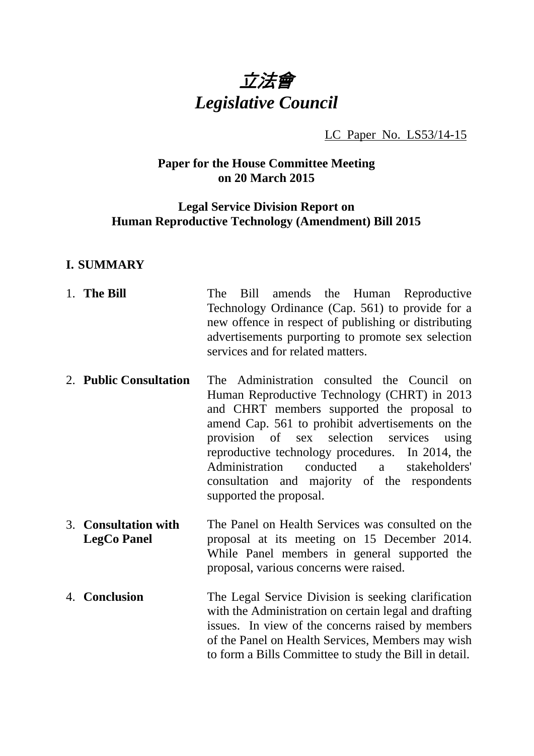

LC Paper No. LS53/14-15

# **Paper for the House Committee Meeting on 20 March 2015**

#### **Legal Service Division Report on Human Reproductive Technology (Amendment) Bill 2015**

#### **I. SUMMARY**

- 1. **The Bill** The Bill amends the Human Reproductive Technology Ordinance (Cap. 561) to provide for a new offence in respect of publishing or distributing advertisements purporting to promote sex selection services and for related matters.
- 2. **Public Consultation** The Administration consulted the Council on Human Reproductive Technology (CHRT) in 2013 and CHRT members supported the proposal to amend Cap. 561 to prohibit advertisements on the provision of sex selection services using reproductive technology procedures. In 2014, the Administration conducted a stakeholders' consultation and majority of the respondents supported the proposal.
- 3. **Consultation with LegCo Panel**  The Panel on Health Services was consulted on the proposal at its meeting on 15 December 2014. While Panel members in general supported the proposal, various concerns were raised.
- 4. **Conclusion** The Legal Service Division is seeking clarification with the Administration on certain legal and drafting issues. In view of the concerns raised by members of the Panel on Health Services, Members may wish to form a Bills Committee to study the Bill in detail.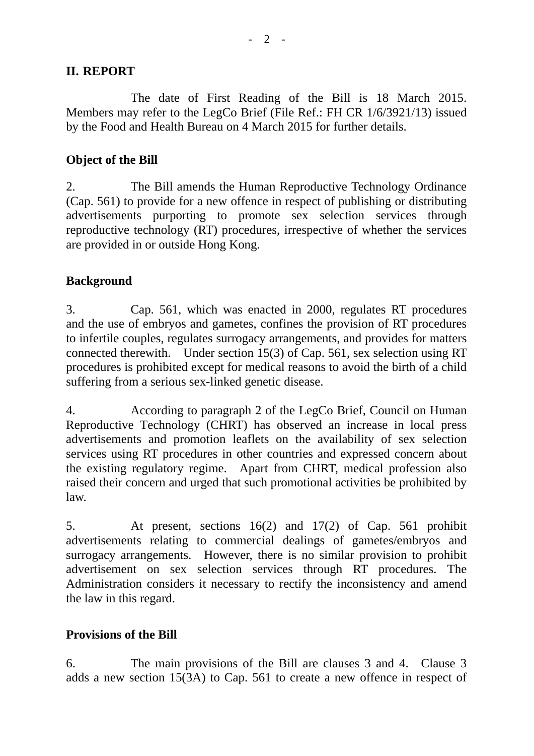#### **II. REPORT**

 The date of First Reading of the Bill is 18 March 2015. Members may refer to the LegCo Brief (File Ref.: FH CR 1/6/3921/13) issued by the Food and Health Bureau on 4 March 2015 for further details.

# **Object of the Bill**

2. The Bill amends the Human Reproductive Technology Ordinance (Cap. 561) to provide for a new offence in respect of publishing or distributing advertisements purporting to promote sex selection services through reproductive technology (RT) procedures, irrespective of whether the services are provided in or outside Hong Kong.

# **Background**

3. Cap. 561, which was enacted in 2000, regulates RT procedures and the use of embryos and gametes, confines the provision of RT procedures to infertile couples, regulates surrogacy arrangements, and provides for matters connected therewith. Under section 15(3) of Cap. 561, sex selection using RT procedures is prohibited except for medical reasons to avoid the birth of a child suffering from a serious sex-linked genetic disease.

4. According to paragraph 2 of the LegCo Brief, Council on Human Reproductive Technology (CHRT) has observed an increase in local press advertisements and promotion leaflets on the availability of sex selection services using RT procedures in other countries and expressed concern about the existing regulatory regime. Apart from CHRT, medical profession also raised their concern and urged that such promotional activities be prohibited by law.

5. At present, sections 16(2) and 17(2) of Cap. 561 prohibit advertisements relating to commercial dealings of gametes/embryos and surrogacy arrangements. However, there is no similar provision to prohibit advertisement on sex selection services through RT procedures. The Administration considers it necessary to rectify the inconsistency and amend the law in this regard.

#### **Provisions of the Bill**

6. The main provisions of the Bill are clauses 3 and 4. Clause 3 adds a new section 15(3A) to Cap. 561 to create a new offence in respect of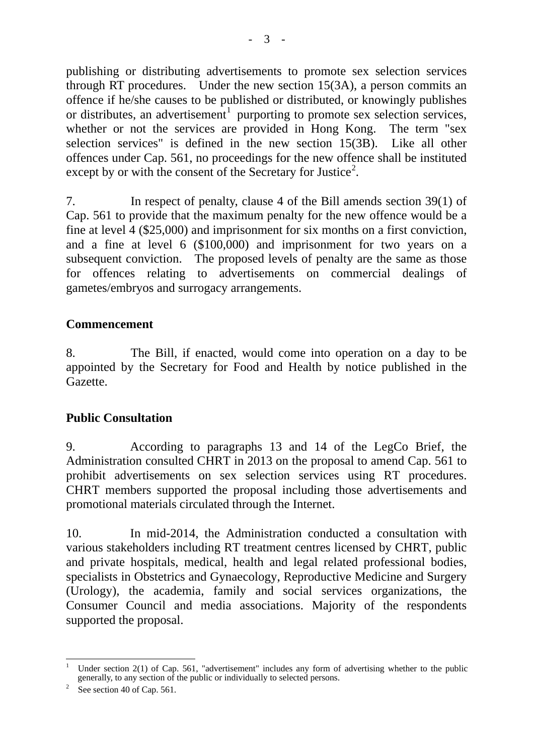publishing or distributing advertisements to promote sex selection services through RT procedures. Under the new section 15(3A), a person commits an offence if he/she causes to be published or distributed, or knowingly publishes or distributes, an advertisement<sup>[1](#page-2-0)</sup> purporting to promote sex selection services, whether or not the services are provided in Hong Kong. The term "sex selection services" is defined in the new section 15(3B). Like all other offences under Cap. 561, no proceedings for the new offence shall be instituted except by or with the consent of the Secretary for Justice<sup>[2](#page-2-1)</sup>.

7. In respect of penalty, clause 4 of the Bill amends section 39(1) of Cap. 561 to provide that the maximum penalty for the new offence would be a fine at level 4 (\$25,000) and imprisonment for six months on a first conviction, and a fine at level 6 (\$100,000) and imprisonment for two years on a subsequent conviction. The proposed levels of penalty are the same as those for offences relating to advertisements on commercial dealings of gametes/embryos and surrogacy arrangements.

# **Commencement**

8. The Bill, if enacted, would come into operation on a day to be appointed by the Secretary for Food and Health by notice published in the Gazette.

# **Public Consultation**

9. According to paragraphs 13 and 14 of the LegCo Brief, the Administration consulted CHRT in 2013 on the proposal to amend Cap. 561 to prohibit advertisements on sex selection services using RT procedures. CHRT members supported the proposal including those advertisements and promotional materials circulated through the Internet.

10. In mid-2014, the Administration conducted a consultation with various stakeholders including RT treatment centres licensed by CHRT, public and private hospitals, medical, health and legal related professional bodies, specialists in Obstetrics and Gynaecology, Reproductive Medicine and Surgery (Urology), the academia, family and social services organizations, the Consumer Council and media associations. Majority of the respondents supported the proposal.

<span id="page-2-0"></span> $\overline{a}$ 1 Under section 2(1) of Cap. 561, "advertisement" includes any form of advertising whether to the public generally, to any section of the public or individually to selected persons.<br> $\frac{2}{3}$  See section 40 of Can 561.

<span id="page-2-1"></span><sup>&</sup>lt;sup>2</sup> See section 40 of Cap. 561.